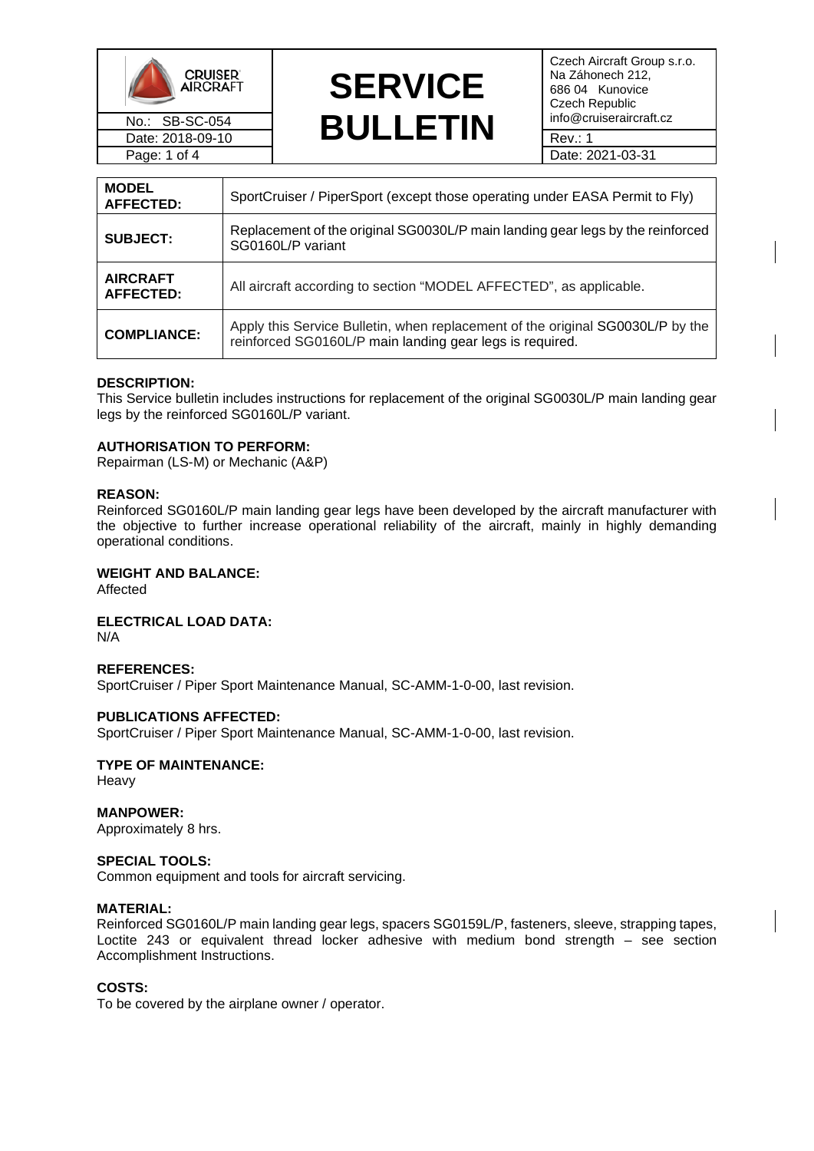



Czech Aircraft Group s.r.o. Na Záhonech 212, 686 04 Kunovice Czech Republic<br>info@cruiseraircraft.cz

| <b>MODEL</b><br>AFFECTED:           | SportCruiser / PiperSport (except those operating under EASA Permit to Fly)                                                                |
|-------------------------------------|--------------------------------------------------------------------------------------------------------------------------------------------|
| <b>SUBJECT:</b>                     | Replacement of the original SG0030L/P main landing gear legs by the reinforced<br>SG0160L/P variant                                        |
| <b>AIRCRAFT</b><br><b>AFFECTED:</b> | All aircraft according to section "MODEL AFFECTED", as applicable.                                                                         |
| <b>COMPLIANCE:</b>                  | Apply this Service Bulletin, when replacement of the original SG0030L/P by the<br>reinforced SG0160L/P main landing gear legs is required. |

#### **DESCRIPTION:**

This Service bulletin includes instructions for replacement of the original SG0030L/P main landing gear legs by the reinforced SG0160L/P variant.

## **AUTHORISATION TO PERFORM:**

Repairman (LS-M) or Mechanic (A&P)

#### **REASON:**

Reinforced SG0160L/P main landing gear legs have been developed by the aircraft manufacturer with the objective to further increase operational reliability of the aircraft, mainly in highly demanding operational conditions.

#### **WEIGHT AND BALANCE:**

Affected

**ELECTRICAL LOAD DATA:**

N/A

#### **REFERENCES:**

SportCruiser / Piper Sport Maintenance Manual, SC-AMM-1-0-00, last revision.

#### **PUBLICATIONS AFFECTED:**

SportCruiser / Piper Sport Maintenance Manual, SC-AMM-1-0-00, last revision.

#### **TYPE OF MAINTENANCE:** Heavy

**MANPOWER:** Approximately 8 hrs.

### **SPECIAL TOOLS:**

Common equipment and tools for aircraft servicing.

#### **MATERIAL:**

Reinforced SG0160L/P main landing gear legs, spacers SG0159L/P, fasteners, sleeve, strapping tapes, Loctite 243 or equivalent thread locker adhesive with medium bond strength – see section Accomplishment Instructions.

#### **COSTS:**

To be covered by the airplane owner / operator.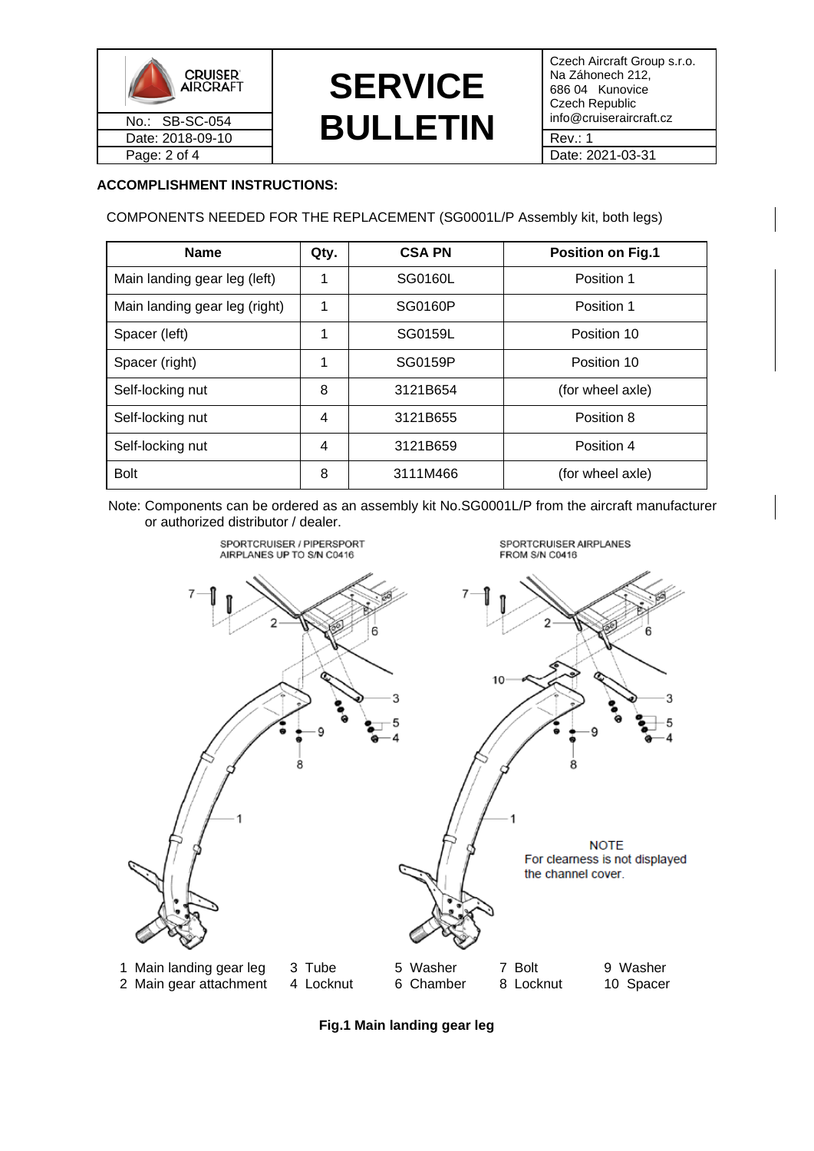

# **SERVICE**  No.: SB-SC-054 **BULLETIN** info@cruiseraircraft.cz = Date: 2018-09-10 Date: 2018-09-10 Rev.: 1

Czech Aircraft Group s.r.o. Na Záhonech 212, 686 04 Kunovice Czech Republic<br>info@cruiseraircraft.cz

## **ACCOMPLISHMENT INSTRUCTIONS:**

COMPONENTS NEEDED FOR THE REPLACEMENT (SG0001L/P Assembly kit, both legs)

| <b>Name</b>                   | Qty. | <b>CSA PN</b> | <b>Position on Fig.1</b> |
|-------------------------------|------|---------------|--------------------------|
| Main landing gear leg (left)  |      | SG0160L       | Position 1               |
| Main landing gear leg (right) | 1    | SG0160P       | Position 1               |
| Spacer (left)                 | 1    | SG0159L       | Position 10              |
| Spacer (right)                | 1    | SG0159P       | Position 10              |
| Self-locking nut              | 8    | 3121B654      | (for wheel axle)         |
| Self-locking nut              | 4    | 3121B655      | Position 8               |
| Self-locking nut              | 4    | 3121B659      | Position 4               |
| <b>Bolt</b>                   | 8    | 3111M466      | (for wheel axle)         |

 Note: Components can be ordered as an assembly kit No.SG0001L/P from the aircraft manufacturer or authorized distributor / dealer.



**Fig.1 Main landing gear leg**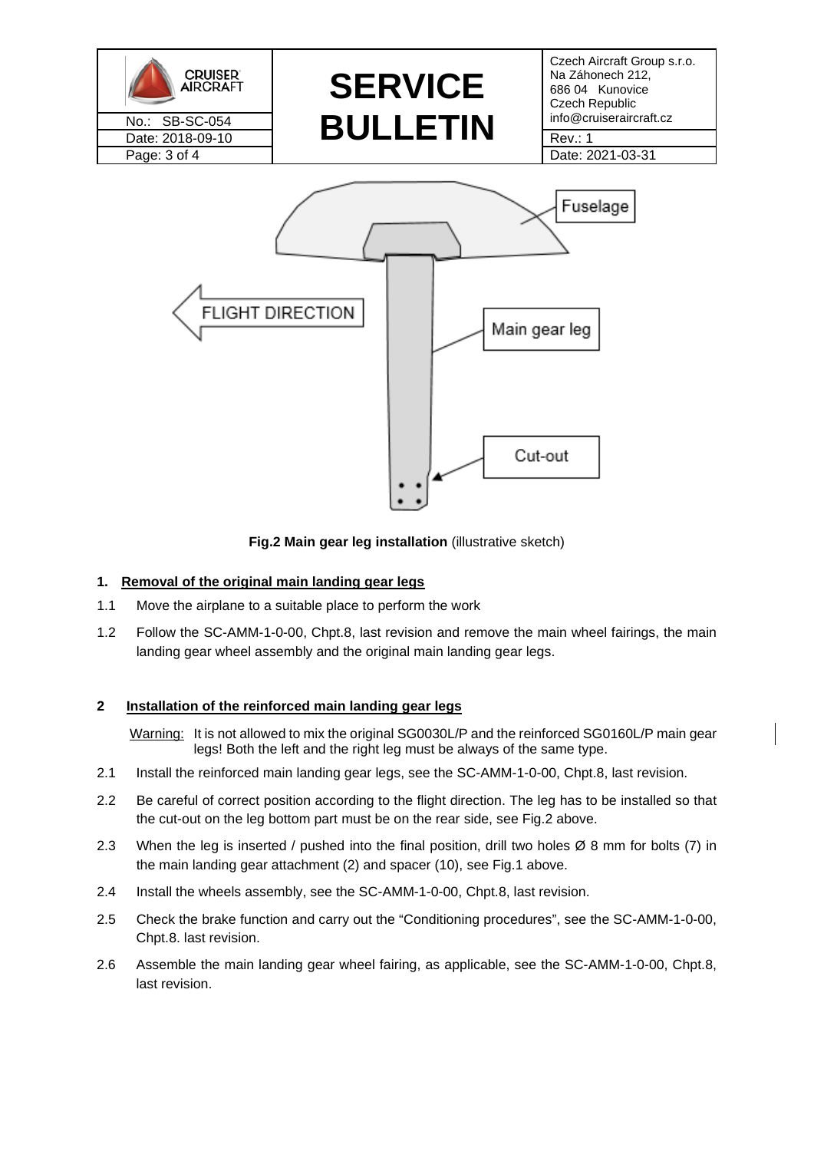

**Fig.2 Main gear leg installation** (illustrative sketch)

## **1. Removal of the original main landing gear legs**

- 1.1 Move the airplane to a suitable place to perform the work
- 1.2 Follow the SC-AMM-1-0-00, Chpt.8, last revision and remove the main wheel fairings, the main landing gear wheel assembly and the original main landing gear legs.

## **2 Installation of the reinforced main landing gear legs**

Warning: It is not allowed to mix the original SG0030L/P and the reinforced SG0160L/P main gear legs! Both the left and the right leg must be always of the same type.

- 2.1 Install the reinforced main landing gear legs, see the SC-AMM-1-0-00, Chpt.8, last revision.
- 2.2 Be careful of correct position according to the flight direction. The leg has to be installed so that the cut-out on the leg bottom part must be on the rear side, see Fig.2 above.
- 2.3 When the leg is inserted / pushed into the final position, drill two holes Ø 8 mm for bolts (7) in the main landing gear attachment (2) and spacer (10), see Fig.1 above.
- 2.4 Install the wheels assembly, see the SC-AMM-1-0-00, Chpt.8, last revision.
- 2.5 Check the brake function and carry out the "Conditioning procedures", see the SC-AMM-1-0-00, Chpt.8. last revision.
- 2.6 Assemble the main landing gear wheel fairing, as applicable, see the SC-AMM-1-0-00, Chpt.8, last revision.